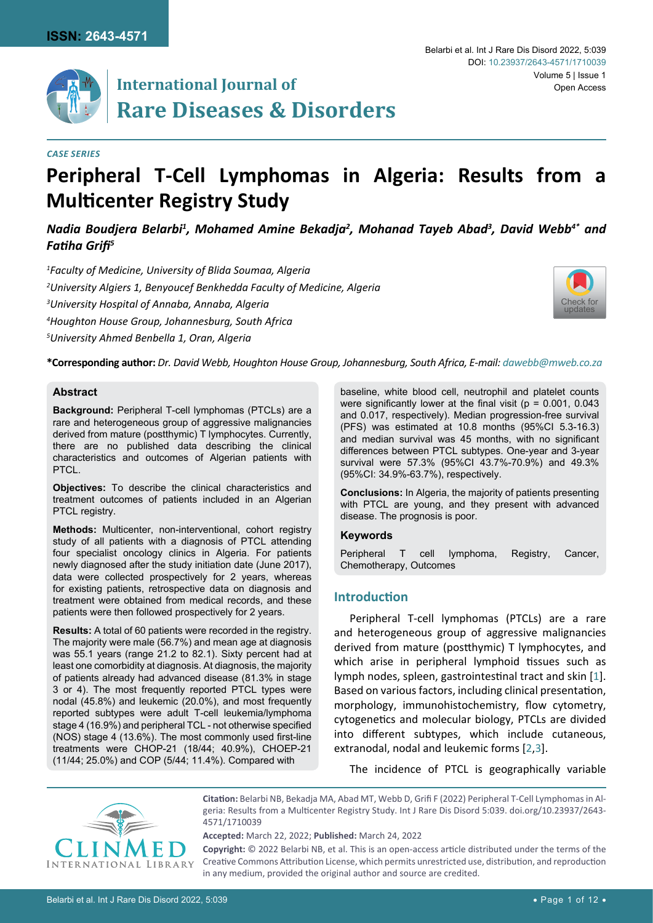

# **International Journal of** Open Access **Rare Diseases & Disorders**

#### *Case Series*

# **Peripheral T-Cell Lymphomas in Algeria: Results from a Multicenter Registry Study**

# *Nadia Boudjera Belarbi1 , Mohamed Amine Bekadja2 , Mohanad Tayeb Abad3 , David Webb4\* and Fatiha Grifi<sup>5</sup>*

 *Faculty of Medicine, University of Blida Soumaa, Algeria University Algiers 1, Benyoucef Benkhedda Faculty of Medicine, Algeria University Hospital of Annaba, Annaba, Algeria Houghton House Group, Johannesburg, South Africa University Ahmed Benbella 1, Oran, Algeria*



**\*Corresponding author:** *Dr. David Webb, Houghton House Group, Johannesburg, South Africa, E-mail: dawebb@mweb.co.za*

#### **Abstract**

**Background:** Peripheral T-cell lymphomas (PTCLs) are a rare and heterogeneous group of aggressive malignancies derived from mature (postthymic) T lymphocytes. Currently, there are no published data describing the clinical characteristics and outcomes of Algerian patients with PTCL.

**Objectives:** To describe the clinical characteristics and treatment outcomes of patients included in an Algerian PTCL registry.

**Methods:** Multicenter, non-interventional, cohort registry study of all patients with a diagnosis of PTCL attending four specialist oncology clinics in Algeria. For patients newly diagnosed after the study initiation date (June 2017), data were collected prospectively for 2 years, whereas for existing patients, retrospective data on diagnosis and treatment were obtained from medical records, and these patients were then followed prospectively for 2 years.

**Results:** A total of 60 patients were recorded in the registry. The majority were male (56.7%) and mean age at diagnosis was 55.1 years (range 21.2 to 82.1). Sixty percent had at least one comorbidity at diagnosis. At diagnosis, the majority of patients already had advanced disease (81.3% in stage 3 or 4). The most frequently reported PTCL types were nodal (45.8%) and leukemic (20.0%), and most frequently reported subtypes were adult T-cell leukemia/lymphoma stage 4 (16.9%) and peripheral TCL - not otherwise specified (NOS) stage 4 (13.6%). The most commonly used first-line treatments were CHOP-21 (18/44; 40.9%), CHOEP-21 (11/44; 25.0%) and COP (5/44; 11.4%). Compared with

baseline, white blood cell, neutrophil and platelet counts were significantly lower at the final visit ( $p = 0.001$ , 0.043 and 0.017, respectively). Median progression-free survival (PFS) was estimated at 10.8 months (95%CI 5.3-16.3) and median survival was 45 months, with no significant differences between PTCL subtypes. One-year and 3-year survival were 57.3% (95%CI 43.7%-70.9%) and 49.3% (95%CI: 34.9%-63.7%), respectively.

**Conclusions:** In Algeria, the majority of patients presenting with PTCL are young, and they present with advanced disease. The prognosis is poor.

#### **Keywords**

Peripheral T cell lymphoma, Registry, Cancer, Chemotherapy, Outcomes

## **Introduction**

Peripheral T-cell lymphomas (PTCLs) are a rare and heterogeneous group of aggressive malignancies derived from mature (postthymic) T lymphocytes, and which arise in peripheral lymphoid tissues such as lymph nodes, spleen, gastrointestinal tract and skin [\[1\]](#page-10-0). Based on various factors, including clinical presentation, morphology, immunohistochemistry, flow cytometry, cytogenetics and molecular biology, PTCLs are divided into different subtypes, which include cutaneous, extranodal, nodal and leukemic forms [[2](#page-10-1),[3\]](#page-10-2).

The incidence of PTCL is geographically variable



**Citation:** Belarbi NB, Bekadja MA, Abad MT, Webb D, Grifi F (2022) Peripheral T-Cell Lymphomas in Algeria: Results from a Multicenter Registry Study. Int J Rare Dis Disord 5:039. [doi.org/10.23937/2643-](https://doi.org/10.23937/2643-4571/1710039) [4571/1710039](https://doi.org/10.23937/2643-4571/1710039)

**Accepted:** March 22, 2022; **Published:** March 24, 2022

**Copyright:** © 2022 Belarbi NB, et al. This is an open-access article distributed under the terms of the Creative Commons Attribution License, which permits unrestricted use, distribution, and reproduction in any medium, provided the original author and source are credited.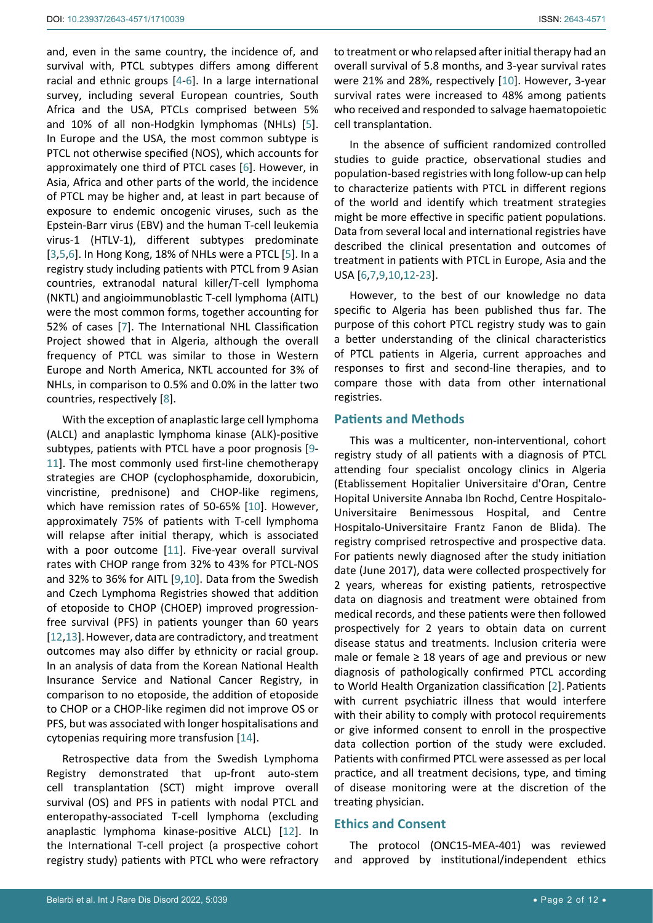and, even in the same country, the incidence of, and survival with, PTCL subtypes differs among different racial and ethnic groups [[4](#page-10-8)-[6](#page-10-4)]. In a large international survey, including several European countries, South Africa and the USA, PTCLs comprised between 5% and 10% of all non-Hodgkin lymphomas (NHLs) [[5](#page-10-9)]. In Europe and the USA, the most common subtype is PTCL not otherwise specified (NOS), which accounts for approximately one third of PTCL cases [[6](#page-10-4)]. However, in Asia, Africa and other parts of the world, the incidence of PTCL may be higher and, at least in part because of exposure to endemic oncogenic viruses, such as the Epstein-Barr virus (EBV) and the human T-cell leukemia virus-1 (HTLV-1), different subtypes predominate [[3](#page-10-2),[5](#page-10-9),[6](#page-10-4)]. In Hong Kong, 18% of NHLs were a PTCL [\[5\]](#page-10-9). In a registry study including patients with PTCL from 9 Asian countries, extranodal natural killer/T-cell lymphoma (NKTL) and angioimmunoblastic T-cell lymphoma (AITL) were the most common forms, together accounting for 52% of cases [[7](#page-10-5)]. The International NHL Classification Project showed that in Algeria, although the overall frequency of PTCL was similar to those in Western Europe and North America, NKTL accounted for 3% of NHLs, in comparison to 0.5% and 0.0% in the latter two countries, respectively [\[8\]](#page-10-10).

With the exception of anaplastic large cell lymphoma (ALCL) and anaplastic lymphoma kinase (ALK)-positive subtypes, patients with PTCL have a poor prognosis [[9](#page-10-6)- [11\]](#page-10-11). The most commonly used first-line chemotherapy strategies are CHOP (cyclophosphamide, doxorubicin, vincristine, prednisone) and CHOP-like regimens, which have remission rates of 50-65% [\[10](#page-10-3)]. However, approximately 75% of patients with T-cell lymphoma will relapse after initial therapy, which is associated with a poor outcome [[11\]](#page-10-11). Five-year overall survival rates with CHOP range from 32% to 43% for PTCL-NOS and 32% to 36% for AITL [\[9](#page-10-6),[10\]](#page-10-3). Data from the Swedish and Czech Lymphoma Registries showed that addition of etoposide to CHOP (CHOEP) improved progressionfree survival (PFS) in patients younger than 60 years [[12](#page-10-7),[13\]](#page-10-12).However, data are contradictory, and treatment outcomes may also differ by ethnicity or racial group. In an analysis of data from the Korean National Health Insurance Service and National Cancer Registry, in comparison to no etoposide, the addition of etoposide to CHOP or a CHOP-like regimen did not improve OS or PFS, but was associated with longer hospitalisations and cytopenias requiring more transfusion [\[14](#page-11-1)].

Retrospective data from the Swedish Lymphoma Registry demonstrated that up-front auto-stem cell transplantation (SCT) might improve overall survival (OS) and PFS in patients with nodal PTCL and enteropathy-associated T-cell lymphoma (excluding anaplastic lymphoma kinase-positive ALCL) [[12\]](#page-10-7). In the International T-cell project (a prospective cohort registry study) patients with PTCL who were refractory

to treatment or who relapsed after initial therapy had an overall survival of 5.8 months, and 3-year survival rates were 21% and 28%, respectively [[10\]](#page-10-3). However, 3-year survival rates were increased to 48% among patients who received and responded to salvage haematopoietic cell transplantation.

In the absence of sufficient randomized controlled studies to guide practice, observational studies and population-based registries with long follow-up can help to characterize patients with PTCL in different regions of the world and identify which treatment strategies might be more effective in specific patient populations. Data from several local and international registries have described the clinical presentation and outcomes of treatment in patients with PTCL in Europe, Asia and the USA [\[6](#page-10-4),[7](#page-10-5),[9](#page-10-6),[10](#page-10-3),[12](#page-10-7)[-23\]](#page-11-0).

However, to the best of our knowledge no data specific to Algeria has been published thus far. The purpose of this cohort PTCL registry study was to gain a better understanding of the clinical characteristics of PTCL patients in Algeria, current approaches and responses to first and second-line therapies, and to compare those with data from other international registries.

## **Patients and Methods**

This was a multicenter, non-interventional, cohort registry study of all patients with a diagnosis of PTCL attending four specialist oncology clinics in Algeria (Etablissement Hopitalier Universitaire d'Oran, Centre Hopital Universite Annaba Ibn Rochd, Centre Hospitalo-Universitaire Benimessous Hospital, and Centre Hospitalo-Universitaire Frantz Fanon de Blida). The registry comprised retrospective and prospective data. For patients newly diagnosed after the study initiation date (June 2017), data were collected prospectively for 2 years, whereas for existing patients, retrospective data on diagnosis and treatment were obtained from medical records, and these patients were then followed prospectively for 2 years to obtain data on current disease status and treatments. Inclusion criteria were male or female  $\geq$  18 years of age and previous or new diagnosis of pathologically confirmed PTCL according to World Health Organization classification [\[2\]](#page-10-1). Patients with current psychiatric illness that would interfere with their ability to comply with protocol requirements or give informed consent to enroll in the prospective data collection portion of the study were excluded. Patients with confirmed PTCL were assessed as per local practice, and all treatment decisions, type, and timing of disease monitoring were at the discretion of the treating physician.

## **Ethics and Consent**

The protocol (ONC15-MEA-401) was reviewed and approved by institutional/independent ethics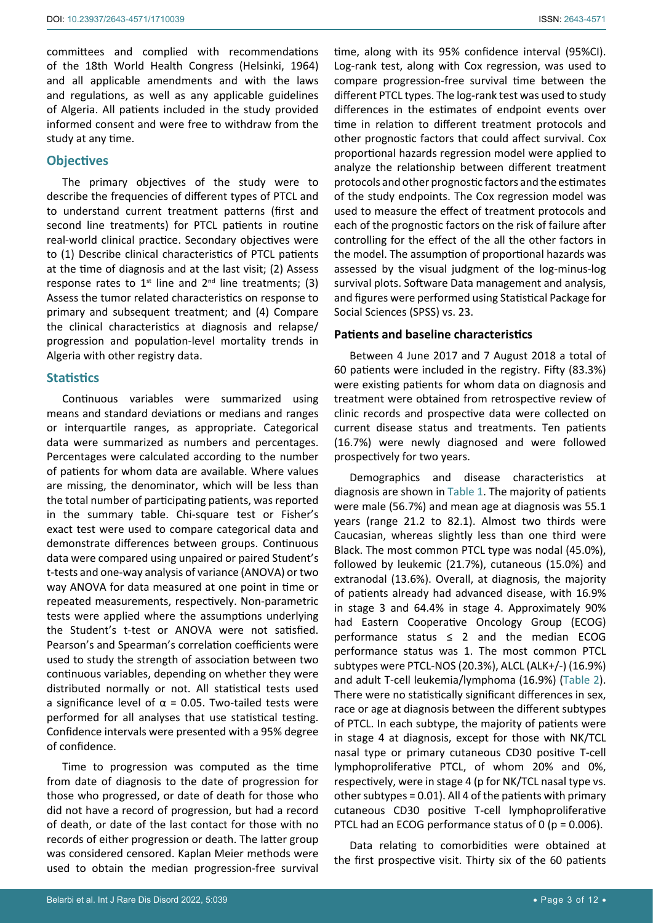committees and complied with recommendations of the 18th World Health Congress (Helsinki, 1964) and all applicable amendments and with the laws and regulations, as well as any applicable guidelines of Algeria. All patients included in the study provided informed consent and were free to withdraw from the study at any time.

## **Objectives**

The primary objectives of the study were to describe the frequencies of different types of PTCL and to understand current treatment patterns (first and second line treatments) for PTCL patients in routine real-world clinical practice. Secondary objectives were to (1) Describe clinical characteristics of PTCL patients at the time of diagnosis and at the last visit; (2) Assess response rates to  $1^{st}$  line and  $2^{nd}$  line treatments; (3) Assess the tumor related characteristics on response to primary and subsequent treatment; and (4) Compare the clinical characteristics at diagnosis and relapse/ progression and population-level mortality trends in Algeria with other registry data.

#### **Statistics**

Continuous variables were summarized using means and standard deviations or medians and ranges or interquartile ranges, as appropriate. Categorical data were summarized as numbers and percentages. Percentages were calculated according to the number of patients for whom data are available. Where values are missing, the denominator, which will be less than the total number of participating patients, was reported in the summary table. Chi-square test or Fisher's exact test were used to compare categorical data and demonstrate differences between groups. Continuous data were compared using unpaired or paired Student's t-tests and one-way analysis of variance (ANOVA) or two way ANOVA for data measured at one point in time or repeated measurements, respectively. Non-parametric tests were applied where the assumptions underlying the Student's t-test or ANOVA were not satisfied. Pearson's and Spearman's correlation coefficients were used to study the strength of association between two continuous variables, depending on whether they were distributed normally or not. All statistical tests used a significance level of  $\alpha$  = 0.05. Two-tailed tests were performed for all analyses that use statistical testing. Confidence intervals were presented with a 95% degree of confidence.

Time to progression was computed as the time from date of diagnosis to the date of progression for those who progressed, or date of death for those who did not have a record of progression, but had a record of death, or date of the last contact for those with no records of either progression or death. The latter group was considered censored. Kaplan Meier methods were used to obtain the median progression-free survival time, along with its 95% confidence interval (95%CI). Log-rank test, along with Cox regression, was used to compare progression-free survival time between the different PTCL types. The log-rank test was used to study differences in the estimates of endpoint events over time in relation to different treatment protocols and other prognostic factors that could affect survival. Cox proportional hazards regression model were applied to analyze the relationship between different treatment protocols and other prognostic factors and the estimates of the study endpoints. The Cox regression model was used to measure the effect of treatment protocols and each of the prognostic factors on the risk of failure after controlling for the effect of the all the other factors in the model. The assumption of proportional hazards was assessed by the visual judgment of the log-minus-log survival plots. Software Data management and analysis, and figures were performed using Statistical Package for Social Sciences (SPSS) vs. 23.

#### **Patients and baseline characteristics**

Between 4 June 2017 and 7 August 2018 a total of 60 patients were included in the registry. Fifty (83.3%) were existing patients for whom data on diagnosis and treatment were obtained from retrospective review of clinic records and prospective data were collected on current disease status and treatments. Ten patients (16.7%) were newly diagnosed and were followed prospectively for two years.

Demographics and disease characteristics at diagnosis are shown in [Table 1.](#page-3-0) The majority of patients were male (56.7%) and mean age at diagnosis was 55.1 years (range 21.2 to 82.1). Almost two thirds were Caucasian, whereas slightly less than one third were Black. The most common PTCL type was nodal (45.0%), followed by leukemic (21.7%), cutaneous (15.0%) and extranodal (13.6%). Overall, at diagnosis, the majority of patients already had advanced disease, with 16.9% in stage 3 and 64.4% in stage 4. Approximately 90% had Eastern Cooperative Oncology Group (ECOG) performance status  $\leq$  2 and the median ECOG performance status was 1. The most common PTCL subtypes were PTCL-NOS (20.3%), ALCL (ALK+/-) (16.9%) and adult T-cell leukemia/lymphoma (16.9%) ([Table 2\)](#page-3-1). There were no statistically significant differences in sex, race or age at diagnosis between the different subtypes of PTCL. In each subtype, the majority of patients were in stage 4 at diagnosis, except for those with NK/TCL nasal type or primary cutaneous CD30 positive T-cell lymphoproliferative PTCL, of whom 20% and 0%, respectively, were in stage 4 (p for NK/TCL nasal type vs. other subtypes = 0.01). All 4 of the patients with primary cutaneous CD30 positive T-cell lymphoproliferative PTCL had an ECOG performance status of 0 ( $p = 0.006$ ).

Data relating to comorbidities were obtained at the first prospective visit. Thirty six of the 60 patients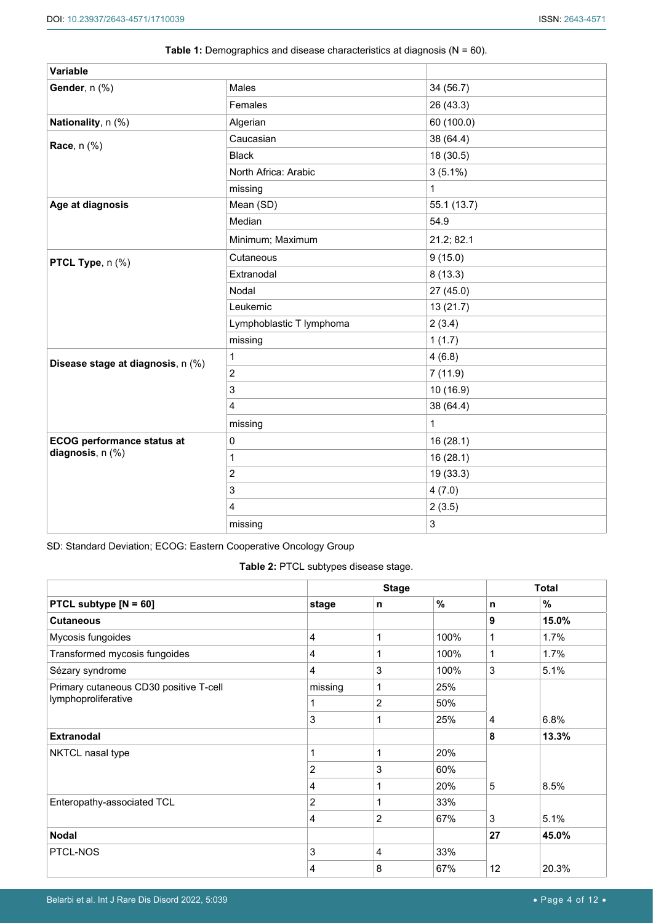| Variable                          |                          |              |
|-----------------------------------|--------------------------|--------------|
| Gender, n (%)                     | Males                    | 34 (56.7)    |
|                                   | Females                  | 26 (43.3)    |
| Nationality, n (%)                | Algerian                 | 60 (100.0)   |
| <b>Race</b> , n (%)               | Caucasian                | 38 (64.4)    |
|                                   | <b>Black</b>             | 18 (30.5)    |
|                                   | North Africa: Arabic     | $3(5.1\%)$   |
|                                   | missing                  | $\mathbf{1}$ |
| Age at diagnosis                  | Mean (SD)                | 55.1(13.7)   |
|                                   | Median                   | 54.9         |
|                                   | Minimum; Maximum         | 21.2; 82.1   |
| PTCL Type, n (%)                  | Cutaneous                | 9(15.0)      |
|                                   | Extranodal               | 8(13.3)      |
|                                   | Nodal                    | 27(45.0)     |
|                                   | Leukemic                 | 13 (21.7)    |
|                                   | Lymphoblastic T lymphoma | 2(3.4)       |
|                                   | missing                  | 1(1.7)       |
| Disease stage at diagnosis, n (%) | 1                        | 4(6.8)       |
|                                   | $\overline{2}$           | 7(11.9)      |
|                                   | 3                        | 10 (16.9)    |
|                                   | $\overline{4}$           | 38 (64.4)    |
|                                   | missing                  | 1            |
| <b>ECOG performance status at</b> | $\pmb{0}$                | 16 (28.1)    |
| diagnosis, n (%)                  | 1                        | 16 (28.1)    |
|                                   | $\overline{2}$           | 19 (33.3)    |
|                                   | 3                        | 4(7.0)       |
|                                   | $\overline{4}$           | 2(3.5)       |
|                                   | missing                  | 3            |

# <span id="page-3-0"></span>**Table 1:** Demographics and disease characteristics at diagnosis (N = 60).

SD: Standard Deviation; ECOG: Eastern Cooperative Oncology Group

<span id="page-3-1"></span>**Table 2:** PTCL subtypes disease stage.

|                                        |                | <b>Stage</b>   |      | <b>Total</b>   |       |
|----------------------------------------|----------------|----------------|------|----------------|-------|
| PTCL subtype $[N = 60]$                | stage          | n              | %    | n              | %     |
| <b>Cutaneous</b>                       |                |                |      | 9              | 15.0% |
| Mycosis fungoides                      | 4              | 1              | 100% | 1              | 1.7%  |
| Transformed mycosis fungoides          | 4              | 1              | 100% | $\mathbf{1}$   | 1.7%  |
| Sézary syndrome                        | 4              | 3              | 100% | 3              | 5.1%  |
| Primary cutaneous CD30 positive T-cell | missing        | 1              | 25%  |                |       |
| lymphoproliferative                    |                | 2              | 50%  |                |       |
|                                        | 3              | 1              | 25%  | $\overline{4}$ | 6.8%  |
| <b>Extranodal</b>                      |                |                |      | 8              | 13.3% |
| NKTCL nasal type                       |                | 1              | 20%  |                |       |
|                                        | $\overline{2}$ | 3              | 60%  |                |       |
|                                        | 4              | 1              | 20%  | 5              | 8.5%  |
| Enteropathy-associated TCL             | $\overline{2}$ | 1              | 33%  |                |       |
|                                        | 4              | 2              | 67%  | 3              | 5.1%  |
| <b>Nodal</b>                           |                |                |      | 27             | 45.0% |
| PTCL-NOS                               | 3              | $\overline{4}$ | 33%  |                |       |
|                                        | 4              | 8              | 67%  | 12             | 20.3% |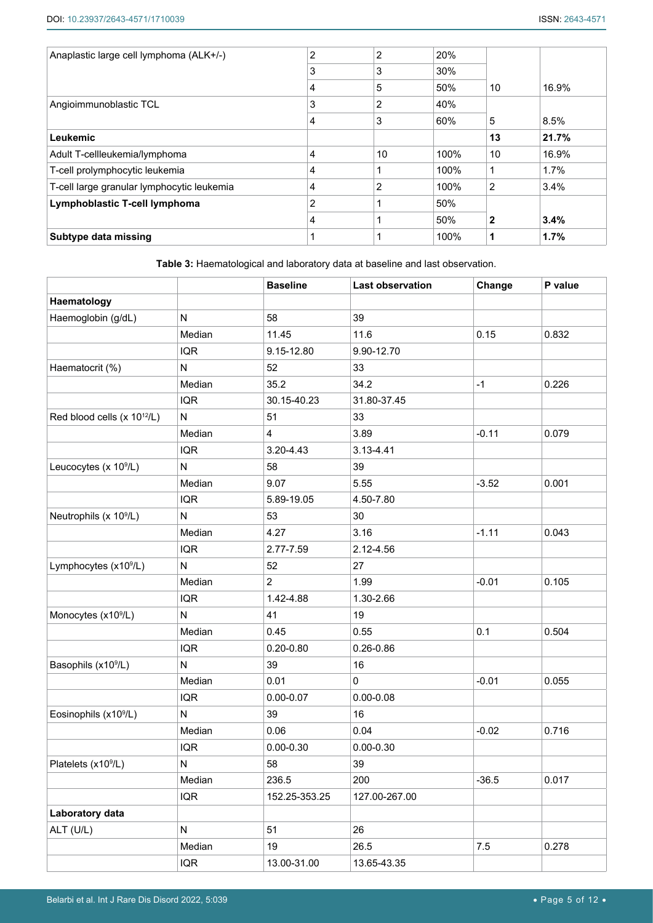| Anaplastic large cell lymphoma (ALK+/-)    | $\overline{2}$ | $\overline{2}$ | 20%  |                |       |
|--------------------------------------------|----------------|----------------|------|----------------|-------|
|                                            | 3              | 3              | 30%  |                |       |
|                                            | 4              | 5              | 50%  | 10             | 16.9% |
| Angioimmunoblastic TCL                     | 3              | $\overline{2}$ | 40%  |                |       |
|                                            | 4              | 3              | 60%  | 5              | 8.5%  |
| Leukemic                                   |                |                |      | 13             | 21.7% |
| Adult T-cellleukemia/lymphoma              | 4              | 10             | 100% | 10             | 16.9% |
| T-cell prolymphocytic leukemia             | 4              |                | 100% |                | 1.7%  |
| T-cell large granular lymphocytic leukemia | 4              | $\overline{2}$ | 100% | $\overline{2}$ | 3.4%  |
| Lymphoblastic T-cell lymphoma              | $\overline{2}$ |                | 50%  |                |       |
|                                            | 4              |                | 50%  | $\mathbf 2$    | 3.4%  |
| Subtype data missing                       |                |                | 100% | 1              | 1.7%  |

<span id="page-4-0"></span>**Table 3:** Haematological and laboratory data at baseline and last observation.

|                                         |            | <b>Baseline</b> | <b>Last observation</b> | Change  | P value |
|-----------------------------------------|------------|-----------------|-------------------------|---------|---------|
| Haematology                             |            |                 |                         |         |         |
| Haemoglobin (g/dL)                      | N          | 58              | 39                      |         |         |
|                                         | Median     | 11.45           | 11.6                    | 0.15    | 0.832   |
|                                         | <b>IQR</b> | 9.15-12.80      | 9.90-12.70              |         |         |
| Haematocrit (%)                         | ${\sf N}$  | 52              | 33                      |         |         |
|                                         | Median     | 35.2            | 34.2                    | $-1$    | 0.226   |
|                                         | <b>IQR</b> | 30.15-40.23     | 31.80-37.45             |         |         |
| Red blood cells (x 10 <sup>12</sup> /L) | ${\sf N}$  | 51              | 33                      |         |         |
|                                         | Median     | $\overline{4}$  | 3.89                    | $-0.11$ | 0.079   |
|                                         | <b>IQR</b> | 3.20-4.43       | 3.13-4.41               |         |         |
| Leucocytes (x 10 <sup>9</sup> /L)       | ${\sf N}$  | 58              | 39                      |         |         |
|                                         | Median     | 9.07            | 5.55                    | $-3.52$ | 0.001   |
|                                         | <b>IQR</b> | 5.89-19.05      | 4.50-7.80               |         |         |
| Neutrophils (x 10 <sup>9</sup> /L)      | N          | 53              | 30                      |         |         |
|                                         | Median     | 4.27            | 3.16                    | $-1.11$ | 0.043   |
|                                         | <b>IQR</b> | 2.77-7.59       | 2.12-4.56               |         |         |
| Lymphocytes (x10 <sup>9</sup> /L)       | ${\sf N}$  | 52              | 27                      |         |         |
|                                         | Median     | $\overline{2}$  | 1.99                    | $-0.01$ | 0.105   |
|                                         | IQR        | 1.42-4.88       | 1.30-2.66               |         |         |
| Monocytes (x10 <sup>9</sup> /L)         | ${\sf N}$  | 41              | 19                      |         |         |
|                                         | Median     | 0.45            | 0.55                    | 0.1     | 0.504   |
|                                         | <b>IQR</b> | $0.20 - 0.80$   | $0.26 - 0.86$           |         |         |
| Basophils (x10 <sup>9</sup> /L)         | N          | 39              | 16                      |         |         |
|                                         | Median     | 0.01            | 0                       | $-0.01$ | 0.055   |
|                                         | <b>IQR</b> | $0.00 - 0.07$   | $0.00 - 0.08$           |         |         |
| Eosinophils (x10 <sup>9</sup> /L)       | ${\sf N}$  | 39              | 16                      |         |         |
|                                         | Median     | 0.06            | 0.04                    | $-0.02$ | 0.716   |
|                                         | <b>IQR</b> | $0.00 - 0.30$   | $0.00 - 0.30$           |         |         |
| Platelets (x10 <sup>9</sup> /L)         | N          | 58              | 39                      |         |         |
|                                         | Median     | 236.5           | 200                     | $-36.5$ | 0.017   |
|                                         | <b>IQR</b> | 152.25-353.25   | 127.00-267.00           |         |         |
| Laboratory data                         |            |                 |                         |         |         |
| ALT (U/L)                               | ${\sf N}$  | 51              | 26                      |         |         |
|                                         | Median     | 19              | 26.5                    | $7.5$   | 0.278   |
|                                         | <b>IQR</b> | 13.00-31.00     | 13.65-43.35             |         |         |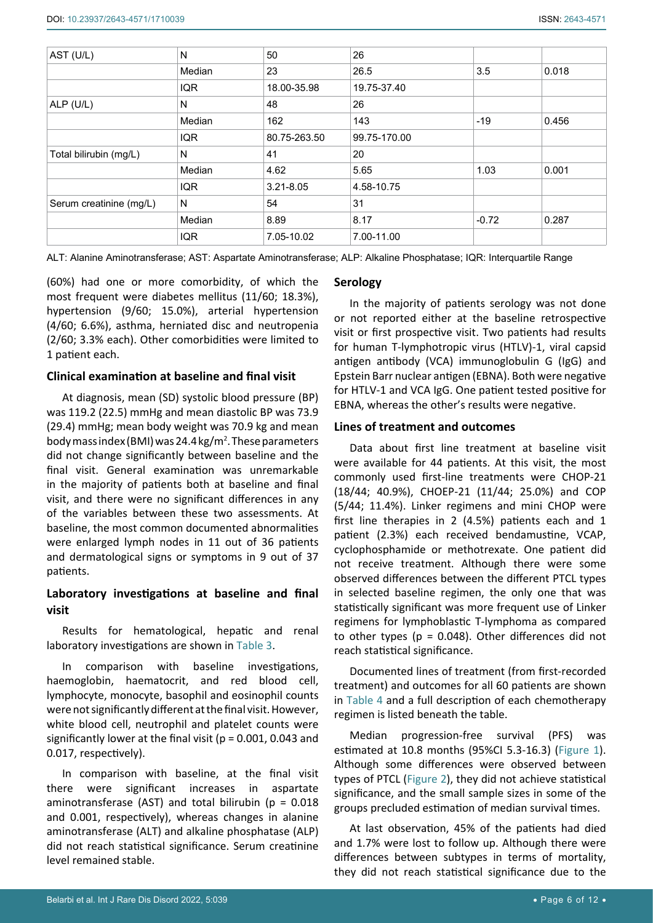| AST (U/L)               | N          | 50            | 26           |         |       |
|-------------------------|------------|---------------|--------------|---------|-------|
|                         | Median     | 23            | 26.5         | 3.5     | 0.018 |
|                         | <b>IQR</b> | 18.00-35.98   | 19.75-37.40  |         |       |
| ALP (U/L)               | N          | 48            | 26           |         |       |
|                         | Median     | 162           | 143          | $-19$   | 0.456 |
|                         | <b>IQR</b> | 80.75-263.50  | 99.75-170.00 |         |       |
| Total bilirubin (mg/L)  | N          | 41            | 20           |         |       |
|                         | Median     | 4.62          | 5.65         | 1.03    | 0.001 |
|                         | <b>IQR</b> | $3.21 - 8.05$ | 4.58-10.75   |         |       |
| Serum creatinine (mg/L) | N          | 54            | 31           |         |       |
|                         | Median     | 8.89          | 8.17         | $-0.72$ | 0.287 |
|                         | <b>IQR</b> | 7.05-10.02    | 7.00-11.00   |         |       |

ALT: Alanine Aminotransferase; AST: Aspartate Aminotransferase; ALP: Alkaline Phosphatase; IQR: Interquartile Range

(60%) had one or more comorbidity, of which the most frequent were diabetes mellitus (11/60; 18.3%), hypertension (9/60; 15.0%), arterial hypertension (4/60; 6.6%), asthma, herniated disc and neutropenia (2/60; 3.3% each). Other comorbidities were limited to 1 patient each.

# **Clinical examination at baseline and final visit**

At diagnosis, mean (SD) systolic blood pressure (BP) was 119.2 (22.5) mmHg and mean diastolic BP was 73.9 (29.4) mmHg; mean body weight was 70.9 kg and mean body mass index (BMI) was 24.4 kg/m<sup>2</sup>. These parameters did not change significantly between baseline and the final visit. General examination was unremarkable in the majority of patients both at baseline and final visit, and there were no significant differences in any of the variables between these two assessments. At baseline, the most common documented abnormalities were enlarged lymph nodes in 11 out of 36 patients and dermatological signs or symptoms in 9 out of 37 patients.

# **Laboratory investigations at baseline and final visit**

Results for hematological, hepatic and renal laboratory investigations are shown in [Table 3](#page-4-0).

In comparison with baseline investigations, haemoglobin, haematocrit, and red blood cell, lymphocyte, monocyte, basophil and eosinophil counts were not significantly different at the final visit. However, white blood cell, neutrophil and platelet counts were significantly lower at the final visit ( $p = 0.001$ , 0.043 and 0.017, respectively).

In comparison with baseline, at the final visit there were significant increases in aspartate aminotransferase (AST) and total bilirubin ( $p = 0.018$ and 0.001, respectively), whereas changes in alanine aminotransferase (ALT) and alkaline phosphatase (ALP) did not reach statistical significance. Serum creatinine level remained stable.

#### **Serology**

In the majority of patients serology was not done or not reported either at the baseline retrospective visit or first prospective visit. Two patients had results for human T-lymphotropic virus (HTLV)-1, viral capsid antigen antibody (VCA) immunoglobulin G (IgG) and Epstein Barr nuclear antigen (EBNA). Both were negative for HTLV-1 and VCA IgG. One patient tested positive for EBNA, whereas the other's results were negative.

#### **Lines of treatment and outcomes**

Data about first line treatment at baseline visit were available for 44 patients. At this visit, the most commonly used first-line treatments were CHOP-21 (18/44; 40.9%), CHOEP-21 (11/44; 25.0%) and COP (5/44; 11.4%). Linker regimens and mini CHOP were first line therapies in 2 (4.5%) patients each and 1 patient (2.3%) each received bendamustine, VCAP, cyclophosphamide or methotrexate. One patient did not receive treatment. Although there were some observed differences between the different PTCL types in selected baseline regimen, the only one that was statistically significant was more frequent use of Linker regimens for lymphoblastic T-lymphoma as compared to other types ( $p = 0.048$ ). Other differences did not reach statistical significance.

Documented lines of treatment (from first-recorded treatment) and outcomes for all 60 patients are shown in [Table 4](#page-6-0) and a full description of each chemotherapy regimen is listed beneath the table.

Median progression-free survival (PFS) was estimated at 10.8 months (95%CI 5.3-16.3) [\(Figure 1\)](#page-8-0). Although some differences were observed between types of PTCL [\(Figure 2](#page-9-0)), they did not achieve statistical significance, and the small sample sizes in some of the groups precluded estimation of median survival times.

At last observation, 45% of the patients had died and 1.7% were lost to follow up. Although there were differences between subtypes in terms of mortality, they did not reach statistical significance due to the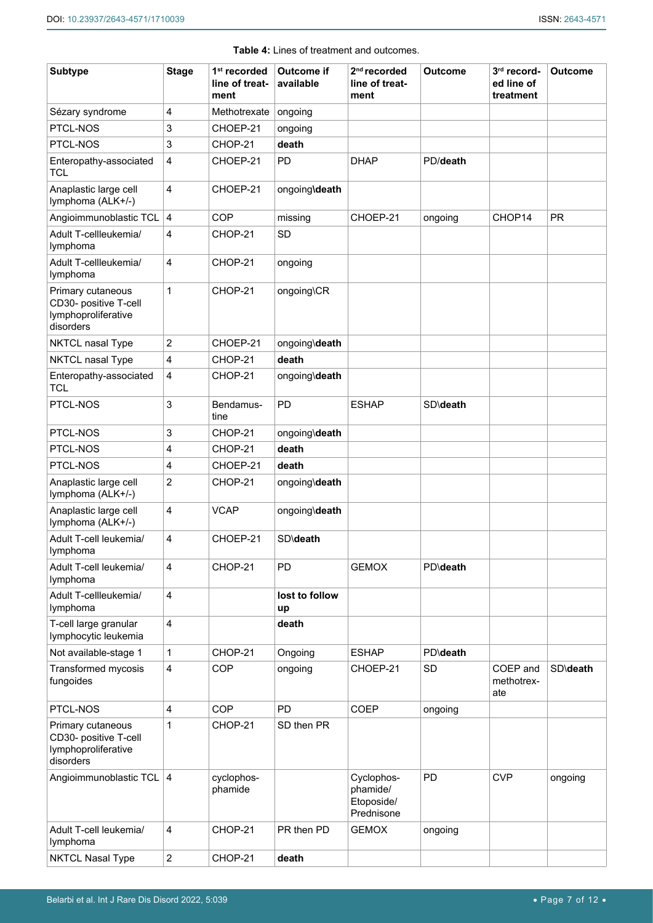<span id="page-6-0"></span>

| <b>Subtype</b>                                                                 | <b>Stage</b>            | 1 <sup>st</sup> recorded<br>line of treat- | <b>Outcome if</b><br>available | $2nd$ recorded<br>line of treat-                   | <b>Outcome</b>   | 3rd record-<br>ed line of     | <b>Outcome</b> |
|--------------------------------------------------------------------------------|-------------------------|--------------------------------------------|--------------------------------|----------------------------------------------------|------------------|-------------------------------|----------------|
|                                                                                |                         | ment                                       |                                | ment                                               |                  | treatment                     |                |
| Sézary syndrome                                                                | 4                       | Methotrexate                               | ongoing                        |                                                    |                  |                               |                |
| PTCL-NOS                                                                       | 3                       | CHOEP-21                                   | ongoing                        |                                                    |                  |                               |                |
| PTCL-NOS                                                                       | $\sqrt{3}$              | CHOP-21                                    | death                          |                                                    |                  |                               |                |
| Enteropathy-associated<br><b>TCL</b>                                           | $\overline{4}$          | CHOEP-21                                   | <b>PD</b>                      | <b>DHAP</b>                                        | PD/death         |                               |                |
| Anaplastic large cell<br>lymphoma (ALK+/-)                                     | $\overline{4}$          | CHOEP-21                                   | ongoing\death                  |                                                    |                  |                               |                |
| Angioimmunoblastic TCL                                                         | 4                       | <b>COP</b>                                 | missing                        | CHOEP-21                                           | ongoing          | CHOP14                        | <b>PR</b>      |
| Adult T-cellleukemia/<br>lymphoma                                              | $\overline{\mathbf{4}}$ | CHOP-21                                    | <b>SD</b>                      |                                                    |                  |                               |                |
| Adult T-cellleukemia/<br>lymphoma                                              | 4                       | CHOP-21                                    | ongoing                        |                                                    |                  |                               |                |
| Primary cutaneous<br>CD30- positive T-cell<br>lymphoproliferative<br>disorders | $\mathbf{1}$            | CHOP-21                                    | ongoing\CR                     |                                                    |                  |                               |                |
| NKTCL nasal Type                                                               | $\overline{c}$          | CHOEP-21                                   | ongoing\death                  |                                                    |                  |                               |                |
| NKTCL nasal Type                                                               | 4                       | CHOP-21                                    | death                          |                                                    |                  |                               |                |
| Enteropathy-associated<br><b>TCL</b>                                           | $\overline{4}$          | CHOP-21                                    | ongoing\death                  |                                                    |                  |                               |                |
| PTCL-NOS                                                                       | 3                       | Bendamus-<br>tine                          | PD                             | <b>ESHAP</b>                                       | SD\death         |                               |                |
| PTCL-NOS                                                                       | 3                       | CHOP-21                                    | ongoing\death                  |                                                    |                  |                               |                |
| PTCL-NOS                                                                       | 4                       | CHOP-21                                    | death                          |                                                    |                  |                               |                |
| PTCL-NOS                                                                       | 4                       | CHOEP-21                                   | death                          |                                                    |                  |                               |                |
| Anaplastic large cell<br>lymphoma (ALK+/-)                                     | 2                       | CHOP-21                                    | ongoing\death                  |                                                    |                  |                               |                |
| Anaplastic large cell<br>lymphoma (ALK+/-)                                     | 4                       | <b>VCAP</b>                                | ongoing\death                  |                                                    |                  |                               |                |
| Adult T-cell leukemia/<br>Iymphoma                                             | 4                       | CHOEP-21                                   | <b>SD</b> \death               |                                                    |                  |                               |                |
| Adult T-cell leukemia/<br>lymphoma                                             | $\overline{4}$          | CHOP-21                                    | PD                             | <b>GEMOX</b>                                       | <b>PD</b> \death |                               |                |
| Adult T-cellleukemia/<br>lymphoma                                              | $\overline{\mathbf{4}}$ |                                            | lost to follow<br>up           |                                                    |                  |                               |                |
| T-cell large granular<br>lymphocytic leukemia                                  | $\overline{\mathbf{4}}$ |                                            | death                          |                                                    |                  |                               |                |
| Not available-stage 1                                                          | 1                       | CHOP-21                                    | Ongoing                        | <b>ESHAP</b>                                       | <b>PD</b> \death |                               |                |
| Transformed mycosis<br>fungoides                                               | $\overline{\mathbf{4}}$ | <b>COP</b>                                 | ongoing                        | CHOEP-21                                           | <b>SD</b>        | COEP and<br>methotrex-<br>ate | SD\death       |
| PTCL-NOS                                                                       | 4                       | <b>COP</b>                                 | PD                             | <b>COEP</b>                                        | ongoing          |                               |                |
| Primary cutaneous<br>CD30- positive T-cell<br>lymphoproliferative<br>disorders | 1                       | CHOP-21                                    | SD then PR                     |                                                    |                  |                               |                |
| Angioimmunoblastic TCL 4                                                       |                         | cyclophos-<br>phamide                      |                                | Cyclophos-<br>phamide/<br>Etoposide/<br>Prednisone | PD               | <b>CVP</b>                    | ongoing        |
| Adult T-cell leukemia/<br>lymphoma                                             | $\overline{4}$          | CHOP-21                                    | PR then PD                     | <b>GEMOX</b>                                       | ongoing          |                               |                |
| <b>NKTCL Nasal Type</b>                                                        | $\sqrt{2}$              | CHOP-21                                    | death                          |                                                    |                  |                               |                |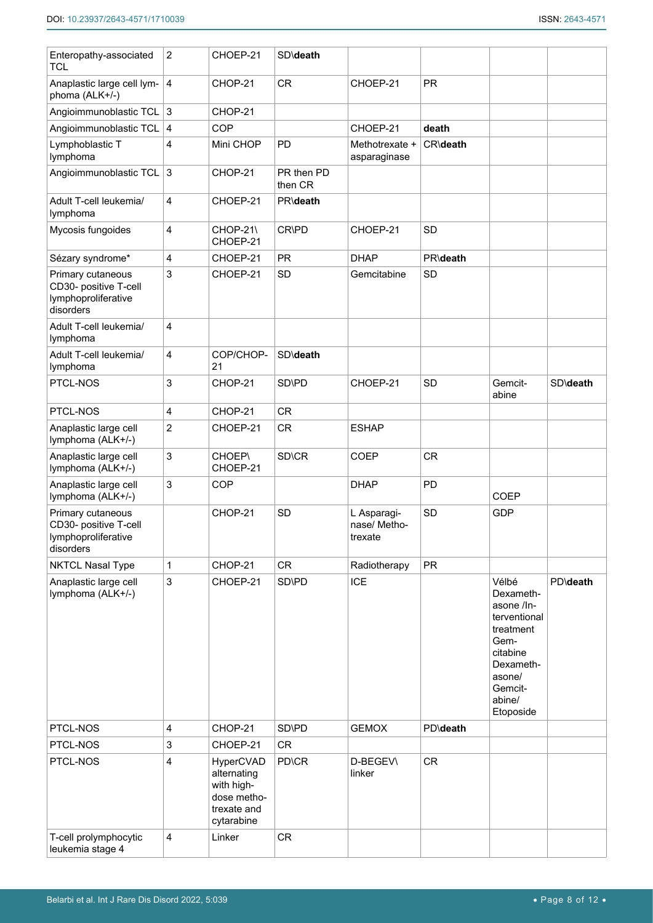| Enteropathy-associated<br><b>TCL</b>                                           | $\overline{c}$          | CHOEP-21                                                                           | SD\death              |                                        |                  |                                                                                                                                            |          |
|--------------------------------------------------------------------------------|-------------------------|------------------------------------------------------------------------------------|-----------------------|----------------------------------------|------------------|--------------------------------------------------------------------------------------------------------------------------------------------|----------|
| Anaplastic large cell lym-<br>phoma (ALK+/-)                                   | $\vert$ 4               | CHOP-21                                                                            | <b>CR</b>             | CHOEP-21                               | <b>PR</b>        |                                                                                                                                            |          |
| Angioimmunoblastic TCL 3                                                       |                         | CHOP-21                                                                            |                       |                                        |                  |                                                                                                                                            |          |
| Angioimmunoblastic TCL   4                                                     |                         | <b>COP</b>                                                                         |                       | CHOEP-21                               | death            |                                                                                                                                            |          |
| Lymphoblastic T<br>lymphoma                                                    | 4                       | Mini CHOP                                                                          | PD                    | Methotrexate +<br>asparaginase         | CR\death         |                                                                                                                                            |          |
| Angioimmunoblastic TCL                                                         | $\sqrt{3}$              | CHOP-21                                                                            | PR then PD<br>then CR |                                        |                  |                                                                                                                                            |          |
| Adult T-cell leukemia/<br>lymphoma                                             | 4                       | CHOEP-21                                                                           | PR\death              |                                        |                  |                                                                                                                                            |          |
| Mycosis fungoides                                                              | 4                       | CHOP-21\<br>CHOEP-21                                                               | CR\PD                 | CHOEP-21                               | <b>SD</b>        |                                                                                                                                            |          |
| Sézary syndrome*                                                               | 4                       | CHOEP-21                                                                           | <b>PR</b>             | <b>DHAP</b>                            | <b>PR\death</b>  |                                                                                                                                            |          |
| Primary cutaneous<br>CD30- positive T-cell<br>lymphoproliferative<br>disorders | 3                       | CHOEP-21                                                                           | <b>SD</b>             | Gemcitabine                            | <b>SD</b>        |                                                                                                                                            |          |
| Adult T-cell leukemia/<br>lymphoma                                             | 4                       |                                                                                    |                       |                                        |                  |                                                                                                                                            |          |
| Adult T-cell leukemia/<br>lymphoma                                             | 4                       | COP/CHOP-<br>21                                                                    | SD\death              |                                        |                  |                                                                                                                                            |          |
| PTCL-NOS                                                                       | 3                       | CHOP-21                                                                            | SD\PD                 | CHOEP-21                               | <b>SD</b>        | Gemcit-<br>abine                                                                                                                           | SD\death |
| PTCL-NOS                                                                       | $\overline{\mathbf{4}}$ | CHOP-21                                                                            | <b>CR</b>             |                                        |                  |                                                                                                                                            |          |
| Anaplastic large cell<br>lymphoma (ALK+/-)                                     | $\overline{c}$          | CHOEP-21                                                                           | <b>CR</b>             | <b>ESHAP</b>                           |                  |                                                                                                                                            |          |
| Anaplastic large cell<br>lymphoma (ALK+/-)                                     | $\mathsf 3$             | <b>CHOEP\</b><br>CHOEP-21                                                          | SD\CR                 | <b>COEP</b>                            | <b>CR</b>        |                                                                                                                                            |          |
| Anaplastic large cell<br>lymphoma (ALK+/-)                                     | $\mathsf 3$             | COP                                                                                |                       | <b>DHAP</b>                            | PD               | <b>COEP</b>                                                                                                                                |          |
| Primary cutaneous<br>CD30- positive T-cell<br>lymphoproliferative<br>disorders |                         | CHOP-21                                                                            | <b>SD</b>             | L Asparagi-<br>nase/ Metho-<br>trexate | <b>SD</b>        | <b>GDP</b>                                                                                                                                 |          |
| <b>NKTCL Nasal Type</b>                                                        | $\mathbf{1}$            | CHOP-21                                                                            | <b>CR</b>             | Radiotherapy                           | <b>PR</b>        |                                                                                                                                            |          |
| Anaplastic large cell<br>lymphoma (ALK+/-)                                     | $\mathsf 3$             | CHOEP-21                                                                           | SD\PD                 | <b>ICE</b>                             |                  | Vélbé<br>Dexameth-<br>asone /In-<br>terventional<br>treatment<br>Gem-<br>citabine<br>Dexameth-<br>asone/<br>Gemcit-<br>abine/<br>Etoposide | PD\death |
| PTCL-NOS                                                                       | $\overline{4}$          | CHOP-21                                                                            | SD\PD                 | <b>GEMOX</b>                           | <b>PD</b> \death |                                                                                                                                            |          |
| PTCL-NOS                                                                       | $\mathsf 3$             | CHOEP-21                                                                           | <b>CR</b>             |                                        |                  |                                                                                                                                            |          |
| PTCL-NOS                                                                       | $\overline{\mathbf{4}}$ | HyperCVAD<br>alternating<br>with high-<br>dose metho-<br>trexate and<br>cytarabine | <b>PD</b> \CR         | D-BEGEV\<br>linker                     | <b>CR</b>        |                                                                                                                                            |          |
| T-cell prolymphocytic<br>leukemia stage 4                                      | $\overline{\mathbf{4}}$ | Linker                                                                             | <b>CR</b>             |                                        |                  |                                                                                                                                            |          |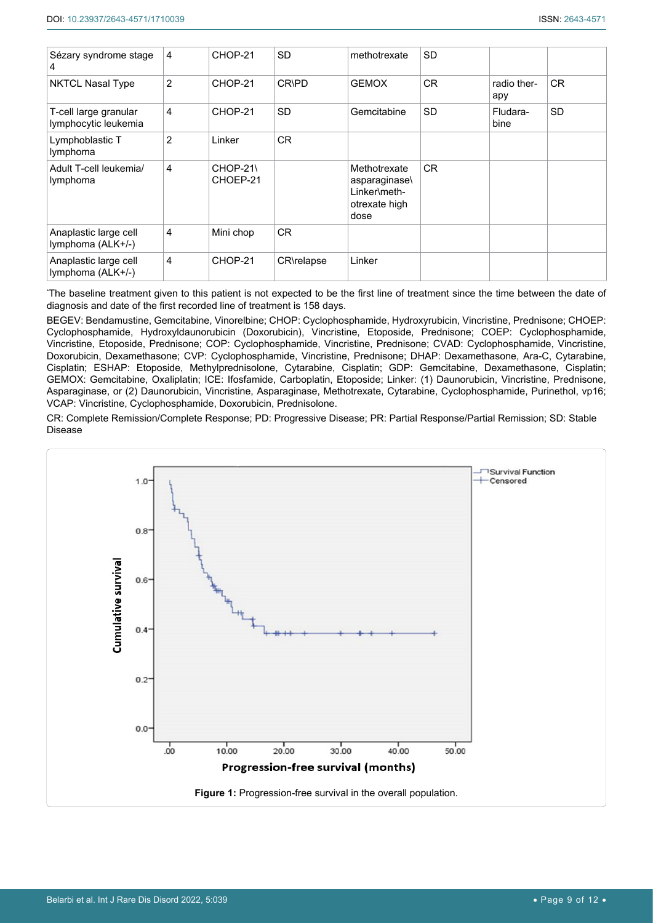| Sézary syndrome stage<br>4                    | 4              | CHOP-21               | <b>SD</b>    | methotrexate                                                          | <b>SD</b> |                    |                |
|-----------------------------------------------|----------------|-----------------------|--------------|-----------------------------------------------------------------------|-----------|--------------------|----------------|
| <b>NKTCL Nasal Type</b>                       | $\overline{2}$ | CHOP-21               | <b>CR\PD</b> | <b>GEMOX</b>                                                          | <b>CR</b> | radio ther-<br>apy | C <sub>R</sub> |
| T-cell large granular<br>lymphocytic leukemia | 4              | CHOP-21               | <b>SD</b>    | Gemcitabine                                                           | <b>SD</b> | Fludara-<br>bine   | <b>SD</b>      |
| Lymphoblastic T<br>lymphoma                   | $\overline{2}$ | Linker                | <b>CR</b>    |                                                                       |           |                    |                |
| Adult T-cell leukemia/<br>lymphoma            | 4              | $CHOP-21$<br>CHOEP-21 |              | Methotrexate<br>asparaginase<br>Linker\meth-<br>otrexate high<br>dose | CR.       |                    |                |
| Anaplastic large cell<br>lymphoma (ALK+/-)    | 4              | Mini chop             | <b>CR</b>    |                                                                       |           |                    |                |
| Anaplastic large cell<br>lymphoma (ALK+/-)    | 4              | CHOP-21               | CR\relapse   | Linker                                                                |           |                    |                |

\* The baseline treatment given to this patient is not expected to be the first line of treatment since the time between the date of diagnosis and date of the first recorded line of treatment is 158 days.

BEGEV: Bendamustine, Gemcitabine, Vinorelbine; CHOP: Cyclophosphamide, Hydroxyrubicin, Vincristine, Prednisone; CHOEP: Cyclophosphamide, Hydroxyldaunorubicin (Doxorubicin), Vincristine, Etoposide, Prednisone; COEP: Cyclophosphamide, Vincristine, Etoposide, Prednisone; COP: Cyclophosphamide, Vincristine, Prednisone; CVAD: Cyclophosphamide, Vincristine, Doxorubicin, Dexamethasone; CVP: Cyclophosphamide, Vincristine, Prednisone; DHAP: Dexamethasone, Ara-C, Cytarabine, Cisplatin; ESHAP: Etoposide, Methylprednisolone, Cytarabine, Cisplatin; GDP: Gemcitabine, Dexamethasone, Cisplatin; GEMOX: Gemcitabine, Oxaliplatin; ICE: Ifosfamide, Carboplatin, Etoposide; Linker: (1) Daunorubicin, Vincristine, Prednisone, Asparaginase, or (2) Daunorubicin, Vincristine, Asparaginase, Methotrexate, Cytarabine, Cyclophosphamide, Purinethol, vp16; VCAP: Vincristine, Cyclophosphamide, Doxorubicin, Prednisolone.

CR: Complete Remission/Complete Response; PD: Progressive Disease; PR: Partial Response/Partial Remission; SD: Stable Disease

<span id="page-8-0"></span>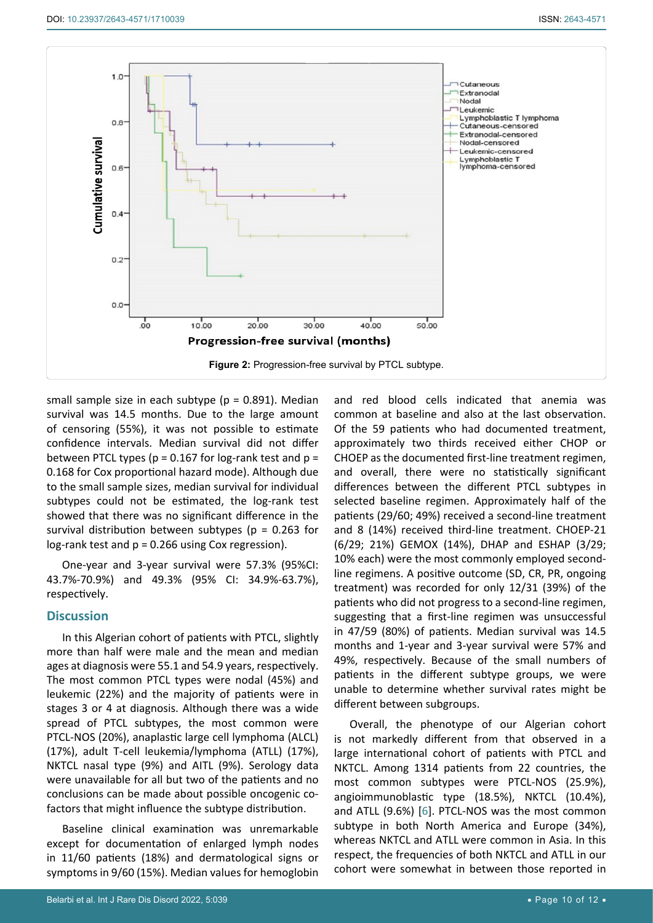<span id="page-9-0"></span>

small sample size in each subtype ( $p = 0.891$ ). Median survival was 14.5 months. Due to the large amount of censoring (55%), it was not possible to estimate confidence intervals. Median survival did not differ between PTCL types ( $p = 0.167$  for log-rank test and  $p =$ 0.168 for Cox proportional hazard mode). Although due to the small sample sizes, median survival for individual subtypes could not be estimated, the log-rank test showed that there was no significant difference in the survival distribution between subtypes ( $p = 0.263$  for log-rank test and p = 0.266 using Cox regression).

One-year and 3-year survival were 57.3% (95%CI: 43.7%-70.9%) and 49.3% (95% CI: 34.9%-63.7%), respectively.

## **Discussion**

In this Algerian cohort of patients with PTCL, slightly more than half were male and the mean and median ages at diagnosis were 55.1 and 54.9 years, respectively. The most common PTCL types were nodal (45%) and leukemic (22%) and the majority of patients were in stages 3 or 4 at diagnosis. Although there was a wide spread of PTCL subtypes, the most common were PTCL-NOS (20%), anaplastic large cell lymphoma (ALCL) (17%), adult T-cell leukemia/lymphoma (ATLL) (17%), NKTCL nasal type (9%) and AITL (9%). Serology data were unavailable for all but two of the patients and no conclusions can be made about possible oncogenic cofactors that might influence the subtype distribution.

Baseline clinical examination was unremarkable except for documentation of enlarged lymph nodes in 11/60 patients (18%) and dermatological signs or symptoms in 9/60 (15%). Median values for hemoglobin and red blood cells indicated that anemia was common at baseline and also at the last observation. Of the 59 patients who had documented treatment, approximately two thirds received either CHOP or CHOEP as the documented first-line treatment regimen, and overall, there were no statistically significant differences between the different PTCL subtypes in selected baseline regimen. Approximately half of the patients (29/60; 49%) received a second-line treatment and 8 (14%) received third-line treatment. CHOEP-21 (6/29; 21%) GEMOX (14%), DHAP and ESHAP (3/29; 10% each) were the most commonly employed secondline regimens. A positive outcome (SD, CR, PR, ongoing treatment) was recorded for only 12/31 (39%) of the patients who did not progress to a second-line regimen, suggesting that a first-line regimen was unsuccessful in 47/59 (80%) of patients. Median survival was 14.5 months and 1-year and 3-year survival were 57% and 49%, respectively. Because of the small numbers of patients in the different subtype groups, we were unable to determine whether survival rates might be different between subgroups.

Overall, the phenotype of our Algerian cohort is not markedly different from that observed in a large international cohort of patients with PTCL and NKTCL. Among 1314 patients from 22 countries, the most common subtypes were PTCL-NOS (25.9%), angioimmunoblastic type (18.5%), NKTCL (10.4%), and ATLL (9.6%) [[6](#page-10-4)]. PTCL-NOS was the most common subtype in both North America and Europe (34%), whereas NKTCL and ATLL were common in Asia. In this respect, the frequencies of both NKTCL and ATLL in our cohort were somewhat in between those reported in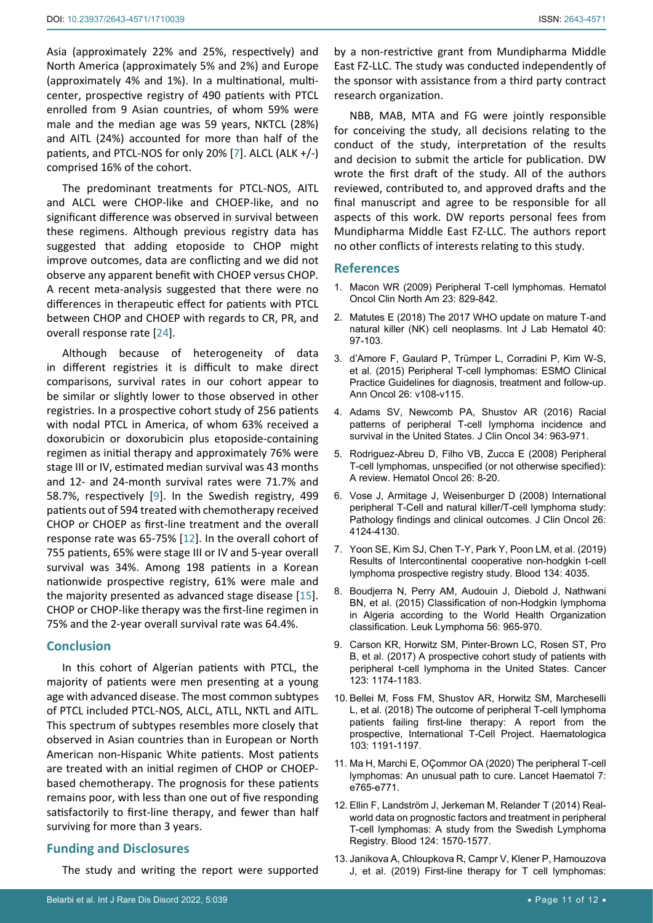Asia (approximately 22% and 25%, respectively) and North America (approximately 5% and 2%) and Europe (approximately 4% and 1%). In a multinational, multicenter, prospective registry of 490 patients with PTCL enrolled from 9 Asian countries, of whom 59% were male and the median age was 59 years, NKTCL (28%) and AITL (24%) accounted for more than half of the patients, and PTCL-NOS for only 20% [\[7\]](#page-10-5). ALCL (ALK +/-) comprised 16% of the cohort.

The predominant treatments for PTCL-NOS, AITL and ALCL were CHOP-like and CHOEP-like, and no significant difference was observed in survival between these regimens. Although previous registry data has suggested that adding etoposide to CHOP might improve outcomes, data are conflicting and we did not observe any apparent benefit with CHOEP versus CHOP. A recent meta-analysis suggested that there were no differences in therapeutic effect for patients with PTCL between CHOP and CHOEP with regards to CR, PR, and overall response rate [[24\]](#page-11-2).

Although because of heterogeneity of data in different registries it is difficult to make direct comparisons, survival rates in our cohort appear to be similar or slightly lower to those observed in other registries. In a prospective cohort study of 256 patients with nodal PTCL in America, of whom 63% received a doxorubicin or doxorubicin plus etoposide-containing regimen as initial therapy and approximately 76% were stage III or IV, estimated median survival was 43 months and 12- and 24-month survival rates were 71.7% and 58.7%, respectively [[9](#page-10-6)]. In the Swedish registry, 499 patients out of 594 treated with chemotherapy received CHOP or CHOEP as first-line treatment and the overall response rate was 65-75% [[12](#page-10-7)]. In the overall cohort of 755 patients, 65% were stage III or IV and 5-year overall survival was 34%. Among 198 patients in a Korean nationwide prospective registry, 61% were male and the majority presented as advanced stage disease [\[15](#page-11-3)]. CHOP or CHOP-like therapy was the first-line regimen in 75% and the 2-year overall survival rate was 64.4%.

## **Conclusion**

In this cohort of Algerian patients with PTCL, the majority of patients were men presenting at a young age with advanced disease. The most common subtypes of PTCL included PTCL-NOS, ALCL, ATLL, NKTL and AITL. This spectrum of subtypes resembles more closely that observed in Asian countries than in European or North American non-Hispanic White patients. Most patients are treated with an initial regimen of CHOP or CHOEPbased chemotherapy. The prognosis for these patients remains poor, with less than one out of five responding satisfactorily to first-line therapy, and fewer than half surviving for more than 3 years.

# **Funding and Disclosures**

The study and writing the report were supported

by a non-restrictive grant from Mundipharma Middle East FZ-LLC. The study was conducted independently of the sponsor with assistance from a third party contract research organization.

NBB, MAB, MTA and FG were jointly responsible for conceiving the study, all decisions relating to the conduct of the study, interpretation of the results and decision to submit the article for publication. DW wrote the first draft of the study. All of the authors reviewed, contributed to, and approved drafts and the final manuscript and agree to be responsible for all aspects of this work. DW reports personal fees from Mundipharma Middle East FZ-LLC. The authors report no other conflicts of interests relating to this study.

## **References**

- <span id="page-10-0"></span>1. [Macon WR \(2009\) Peripheral T-cell lymphomas. Hematol](https://pubmed.ncbi.nlm.nih.gov/19577171/)  [Oncol Clin North Am 23: 829-842.](https://pubmed.ncbi.nlm.nih.gov/19577171/)
- <span id="page-10-1"></span>2. [Matutes E \(2018\) The 2017 WHO update on mature T-and](https://pubmed.ncbi.nlm.nih.gov/29741263/)  [natural killer \(NK\) cell neoplasms. Int J Lab Hematol 40:](https://pubmed.ncbi.nlm.nih.gov/29741263/)  [97-103.](https://pubmed.ncbi.nlm.nih.gov/29741263/)
- <span id="page-10-2"></span>3. [d'Amore F, Gaulard P, Trümper L, Corradini P, Kim W-S,](https://pubmed.ncbi.nlm.nih.gov/26314772/)  [et al. \(2015\) Peripheral T-cell lymphomas: ESMO Clinical](https://pubmed.ncbi.nlm.nih.gov/26314772/)  [Practice Guidelines for diagnosis, treatment and follow-up.](https://pubmed.ncbi.nlm.nih.gov/26314772/)  [Ann Oncol 26: v108-v115.](https://pubmed.ncbi.nlm.nih.gov/26314772/)
- <span id="page-10-8"></span>4. [Adams SV, Newcomb PA, Shustov AR \(2016\) Racial](https://pubmed.ncbi.nlm.nih.gov/26962200/)  [patterns of peripheral T-cell lymphoma incidence and](https://pubmed.ncbi.nlm.nih.gov/26962200/)  [survival in the United States. J Clin Oncol 34: 963-971.](https://pubmed.ncbi.nlm.nih.gov/26962200/)
- <span id="page-10-9"></span>5. [Rodriguez-Abreu D, Filho VB, Zucca E \(2008\) Peripheral](https://pubmed.ncbi.nlm.nih.gov/18050364/)  [T-cell lymphomas, unspecified \(or not otherwise specified\):](https://pubmed.ncbi.nlm.nih.gov/18050364/)  [A review. Hematol Oncol 26: 8-20.](https://pubmed.ncbi.nlm.nih.gov/18050364/)
- <span id="page-10-4"></span>6. [Vose J, Armitage J, Weisenburger D \(2008\) International](https://pubmed.ncbi.nlm.nih.gov/18626005/)  [peripheral T-Cell and natural killer/T-cell lymphoma study:](https://pubmed.ncbi.nlm.nih.gov/18626005/)  [Pathology findings and clinical outcomes. J Clin Oncol 26:](https://pubmed.ncbi.nlm.nih.gov/18626005/)  [4124-4130.](https://pubmed.ncbi.nlm.nih.gov/18626005/)
- <span id="page-10-5"></span>7. [Yoon SE, Kim SJ, Chen T-Y, Park Y, Poon LM, et al. \(2019\)](https://www.sciencedirect.com/science/article/pii/S0006497118619639)  [Results of Intercontinental cooperative non-hodgkin t-cell](https://www.sciencedirect.com/science/article/pii/S0006497118619639)  [lymphoma prospective registry study. Blood 134: 4035.](https://www.sciencedirect.com/science/article/pii/S0006497118619639)
- <span id="page-10-10"></span>8. [Boudjerra N, Perry AM, Audouin J, Diebold J, Nathwani](https://pubmed.ncbi.nlm.nih.gov/25012941/)  [BN, et al. \(2015\) Classification of non-Hodgkin lymphoma](https://pubmed.ncbi.nlm.nih.gov/25012941/)  [in Algeria according to the World Health Organization](https://pubmed.ncbi.nlm.nih.gov/25012941/)  [classification. Leuk Lymphoma 56: 965-970.](https://pubmed.ncbi.nlm.nih.gov/25012941/)
- <span id="page-10-6"></span>9. [Carson KR, Horwitz SM, Pinter-Brown LC, Rosen ST, Pro](https://pubmed.ncbi.nlm.nih.gov/27911989/)  [B, et al. \(2017\) A prospective cohort study of patients with](https://pubmed.ncbi.nlm.nih.gov/27911989/)  [peripheral t-cell lymphoma in the United States. Cancer](https://pubmed.ncbi.nlm.nih.gov/27911989/)  [123: 1174-1183.](https://pubmed.ncbi.nlm.nih.gov/27911989/)
- <span id="page-10-3"></span>10. [Bellei M, Foss FM, Shustov AR, Horwitz SM, Marcheselli](https://pubmed.ncbi.nlm.nih.gov/29599200/)  [L, et al. \(2018\) The outcome of peripheral T-cell lymphoma](https://pubmed.ncbi.nlm.nih.gov/29599200/)  [patients failing first-line therapy: A report from the](https://pubmed.ncbi.nlm.nih.gov/29599200/)  [prospective, International T-Cell Project. Haematologica](https://pubmed.ncbi.nlm.nih.gov/29599200/)  [103: 1191-1197.](https://pubmed.ncbi.nlm.nih.gov/29599200/)
- <span id="page-10-11"></span>11. [Ma H, Marchi E, OÇommor OA \(2020\) The peripheral T-cell](https://pubmed.ncbi.nlm.nih.gov/32976753/)  [lymphomas: An unusual path to cure. Lancet Haematol 7:](https://pubmed.ncbi.nlm.nih.gov/32976753/)  [e765-e771.](https://pubmed.ncbi.nlm.nih.gov/32976753/)
- <span id="page-10-7"></span>12. [Ellin F, Landström J, Jerkeman M, Relander T \(2014\) Real](https://pubmed.ncbi.nlm.nih.gov/25006130/)[world data on prognostic factors and treatment in peripheral](https://pubmed.ncbi.nlm.nih.gov/25006130/)  [T-cell lymphomas: A study from the Swedish Lymphoma](https://pubmed.ncbi.nlm.nih.gov/25006130/)  [Registry. Blood 124: 1570-1577.](https://pubmed.ncbi.nlm.nih.gov/25006130/)
- <span id="page-10-12"></span>13. [Janikova A, Chloupkova R, Campr V, Klener P, Hamouzova](https://pubmed.ncbi.nlm.nih.gov/31065733/)  [J, et al. \(2019\) First-line therapy for T cell lymphomas:](https://pubmed.ncbi.nlm.nih.gov/31065733/)